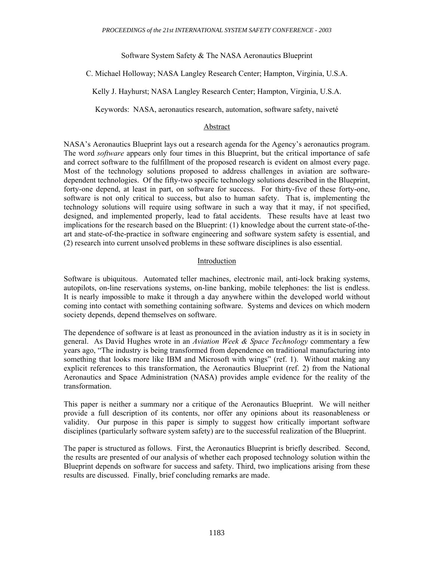Software System Safety & The NASA Aeronautics Blueprint

C. Michael Holloway; NASA Langley Research Center; Hampton, Virginia, U.S.A.

Kelly J. Hayhurst; NASA Langley Research Center; Hampton, Virginia, U.S.A.

Keywords: NASA, aeronautics research, automation, software safety, naiveté

#### Abstract

NASA's Aeronautics Blueprint lays out a research agenda for the Agency's aeronautics program. The word *software* appears only four times in this Blueprint, but the critical importance of safe and correct software to the fulfillment of the proposed research is evident on almost every page. Most of the technology solutions proposed to address challenges in aviation are softwaredependent technologies. Of the fifty-two specific technology solutions described in the Blueprint, forty-one depend, at least in part, on software for success. For thirty-five of these forty-one, software is not only critical to success, but also to human safety. That is, implementing the technology solutions will require using software in such a way that it may, if not specified, designed, and implemented properly, lead to fatal accidents. These results have at least two implications for the research based on the Blueprint: (1) knowledge about the current state-of-theart and state-of-the-practice in software engineering and software system safety is essential, and (2) research into current unsolved problems in these software disciplines is also essential.

#### Introduction

Software is ubiquitous. Automated teller machines, electronic mail, anti-lock braking systems, autopilots, on-line reservations systems, on-line banking, mobile telephones: the list is endless. It is nearly impossible to make it through a day anywhere within the developed world without coming into contact with something containing software. Systems and devices on which modern society depends, depend themselves on software.

The dependence of software is at least as pronounced in the aviation industry as it is in society in general. As David Hughes wrote in an *Aviation Week & Space Technology* commentary a few years ago, "The industry is being transformed from dependence on traditional manufacturing into something that looks more like IBM and Microsoft with wings" (ref. 1). Without making any explicit references to this transformation, the Aeronautics Blueprint (ref. 2) from the National Aeronautics and Space Administration (NASA) provides ample evidence for the reality of the transformation.

This paper is neither a summary nor a critique of the Aeronautics Blueprint. We will neither provide a full description of its contents, nor offer any opinions about its reasonableness or validity. Our purpose in this paper is simply to suggest how critically important software disciplines (particularly software system safety) are to the successful realization of the Blueprint.

The paper is structured as follows. First, the Aeronautics Blueprint is briefly described. Second, the results are presented of our analysis of whether each proposed technology solution within the Blueprint depends on software for success and safety. Third, two implications arising from these results are discussed. Finally, brief concluding remarks are made.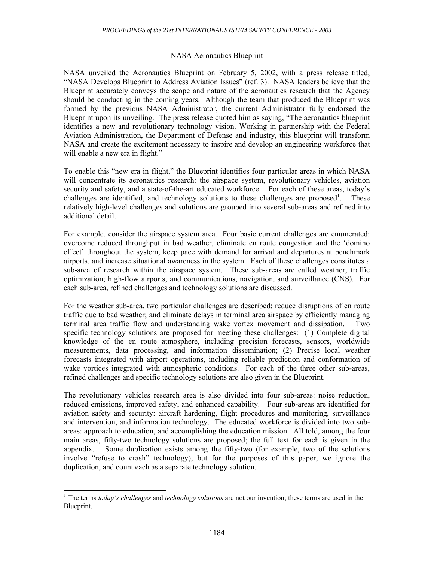#### NASA Aeronautics Blueprint

NASA unveiled the Aeronautics Blueprint on February 5, 2002, with a press release titled, "NASA Develops Blueprint to Address Aviation Issues" (ref. 3). NASA leaders believe that the Blueprint accurately conveys the scope and nature of the aeronautics research that the Agency should be conducting in the coming years. Although the team that produced the Blueprint was formed by the previous NASA Administrator, the current Administrator fully endorsed the Blueprint upon its unveiling. The press release quoted him as saying, "The aeronautics blueprint identifies a new and revolutionary technology vision. Working in partnership with the Federal Aviation Administration, the Department of Defense and industry, this blueprint will transform NASA and create the excitement necessary to inspire and develop an engineering workforce that will enable a new era in flight."

To enable this "new era in flight," the Blueprint identifies four particular areas in which NASA will concentrate its aeronautics research: the airspace system, revolutionary vehicles, aviation security and safety, and a state-of-the-art educated workforce. For each of these areas, today's challenges are identified, and technology solutions to these challenges are proposed<sup>1</sup>. . These relatively high-level challenges and solutions are grouped into several sub-areas and refined into additional detail.

For example, consider the airspace system area. Four basic current challenges are enumerated: overcome reduced throughput in bad weather, eliminate en route congestion and the 'domino effect' throughout the system, keep pace with demand for arrival and departures at benchmark airports, and increase situational awareness in the system. Each of these challenges constitutes a sub-area of research within the airspace system. These sub-areas are called weather; traffic optimization; high-flow airports; and communications, navigation, and surveillance (CNS). For each sub-area, refined challenges and technology solutions are discussed.

For the weather sub-area, two particular challenges are described: reduce disruptions of en route traffic due to bad weather; and eliminate delays in terminal area airspace by efficiently managing terminal area traffic flow and understanding wake vortex movement and dissipation. specific technology solutions are proposed for meeting these challenges: (1) Complete digital knowledge of the en route atmosphere, including precision forecasts, sensors, worldwide measurements, data processing, and information dissemination; (2) Precise local weather forecasts integrated with airport operations, including reliable prediction and conformation of wake vortices integrated with atmospheric conditions. For each of the three other sub-areas, refined challenges and specific technology solutions are also given in the Blueprint.

The revolutionary vehicles research area is also divided into four sub-areas: noise reduction, reduced emissions, improved safety, and enhanced capability. Four sub-areas are identified for aviation safety and security: aircraft hardening, flight procedures and monitoring, surveillance and intervention, and information technology. The educated workforce is divided into two subareas: approach to education, and accomplishing the education mission. All told, among the four main areas, fifty-two technology solutions are proposed; the full text for each is given in the appendix. Some duplication exists among the fifty-two (for example, two of the solutions involve "refuse to crash" technology), but for the purposes of this paper, we ignore the duplication, and count each as a separate technology solution.

 $\overline{\phantom{a}}$ 

<sup>&</sup>lt;sup>1</sup> The terms *today's challenges* and *technology solutions* are not our invention; these terms are used in the Blueprint.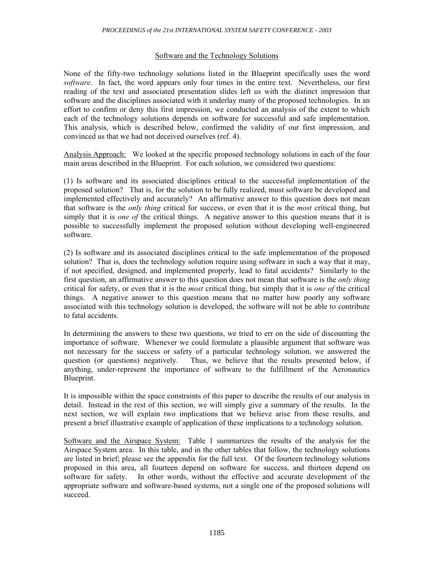### Software and the Technology Solutions

None of the fifty-two technology solutions listed in the Blueprint specifically uses the word *software*. In fact, the word appears only four times in the entire text. Nevertheless, our first reading of the text and associated presentation slides left us with the distinct impression that software and the disciplines associated with it underlay many of the proposed technologies. In an effort to confirm or deny this first impression, we conducted an analysis of the extent to which each of the technology solutions depends on software for successful and safe implementation. This analysis, which is described below, confirmed the validity of our first impression, and convinced us that we had not deceived ourselves (ref. 4).

Analysis Approach: We looked at the specific proposed technology solutions in each of the four main areas described in the Blueprint. For each solution, we considered two questions:

(1) Is software and its associated disciplines critical to the successful implementation of the proposed solution? That is, for the solution to be fully realized, must software be developed and implemented effectively and accurately? An affirmative answer to this question does not mean that software is the *only thing* critical for success, or even that it is the *most* critical thing, but simply that it is *one of* the critical things. A negative answer to this question means that it is possible to successfully implement the proposed solution without developing well-engineered software.

(2) Is software and its associated disciplines critical to the safe implementation of the proposed solution? That is, does the technology solution require using software in such a way that it may, if not specified, designed, and implemented properly, lead to fatal accidents? Similarly to the first question, an affirmative answer to this question does not mean that software is the *only thing* critical for safety, or even that it is the *most* critical thing, but simply that it is *one of* the critical things. A negative answer to this question means that no matter how poorly any software associated with this technology solution is developed, the software will not be able to contribute to fatal accidents.

In determining the answers to these two questions, we tried to err on the side of discounting the importance of software. Whenever we could formulate a plausible argument that software was not necessary for the success or safety of a particular technology solution, we answered the question (or questions) negatively. Thus, we believe that the results presented below, if anything, under-represent the importance of software to the fulfillment of the Aeronautics Blueprint.

It is impossible within the space constraints of this paper to describe the results of our analysis in detail. Instead in the rest of this section, we will simply give a summary of the results. In the next section, we will explain two implications that we believe arise from these results, and present a brief illustrative example of application of these implications to a technology solution.

Software and the Airspace System: Table 1 summarizes the results of the analysis for the Airspace System area. In this table, and in the other tables that follow, the technology solutions are listed in brief; please see the appendix for the full text. Of the fourteen technology solutions proposed in this area, all fourteen depend on software for success, and thirteen depend on software for safety. In other words, without the effective and accurate development of the appropriate software and software-based systems, not a single one of the proposed solutions will succeed.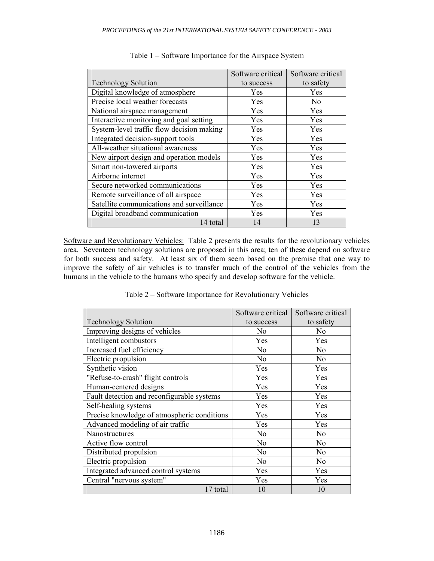|                                           | Software critical | Software critical |
|-------------------------------------------|-------------------|-------------------|
| <b>Technology Solution</b>                | to success        | to safety         |
| Digital knowledge of atmosphere           | Yes               | Yes               |
| Precise local weather forecasts           | <b>Yes</b>        | N <sub>0</sub>    |
| National airspace management              | Yes               | Yes               |
| Interactive monitoring and goal setting   | Yes               | Yes               |
| System-level traffic flow decision making | Yes               | Yes               |
| Integrated decision-support tools         | Yes               | Yes               |
| All-weather situational awareness         | Yes               | Yes               |
| New airport design and operation models   | <b>Yes</b>        | <b>Yes</b>        |
| Smart non-towered airports                | Yes               | Yes               |
| Airborne internet                         | Yes               | <b>Yes</b>        |
| Secure networked communications           | Yes               | Yes               |
| Remote surveillance of all airspace       | Yes               | Yes               |
| Satellite communications and surveillance | <b>Yes</b>        | Yes               |
| Digital broadband communication           | <b>Yes</b>        | Yes               |
| 14 total                                  | 14                | 13                |

#### Table 1 – Software Importance for the Airspace System

Software and Revolutionary Vehicles: Table 2 presents the results for the revolutionary vehicles area. Seventeen technology solutions are proposed in this area; ten of these depend on software for both success and safety. At least six of them seem based on the premise that one way to improve the safety of air vehicles is to transfer much of the control of the vehicles from the humans in the vehicle to the humans who specify and develop software for the vehicle.

Table 2 – Software Importance for Revolutionary Vehicles

|                                             | Software critical | Software critical |
|---------------------------------------------|-------------------|-------------------|
| <b>Technology Solution</b>                  | to success        | to safety         |
| Improving designs of vehicles               | No                | No                |
| Intelligent combustors                      | Yes               | Yes               |
| Increased fuel efficiency                   | N <sub>0</sub>    | N <sub>0</sub>    |
| Electric propulsion                         | N <sub>0</sub>    | N <sub>0</sub>    |
| Synthetic vision                            | Yes               | Yes               |
| "Refuse-to-crash" flight controls           | Yes               | Yes               |
| Human-centered designs                      | Yes               | Yes               |
| Fault detection and reconfigurable systems  | Yes               | Yes               |
| Self-healing systems                        | Yes               | Yes               |
| Precise knowledge of atmospheric conditions | Yes               | Yes               |
| Advanced modeling of air traffic            | Yes               | Yes               |
| Nanostructures                              | N <sub>0</sub>    | No                |
| Active flow control                         | N <sub>0</sub>    | No                |
| Distributed propulsion                      | N <sub>0</sub>    | N <sub>o</sub>    |
| Electric propulsion                         | No                | No                |
| Integrated advanced control systems         | Yes               | Yes               |
| Central "nervous system"                    | Yes               | Yes               |
| 17 total                                    | 10                | 10                |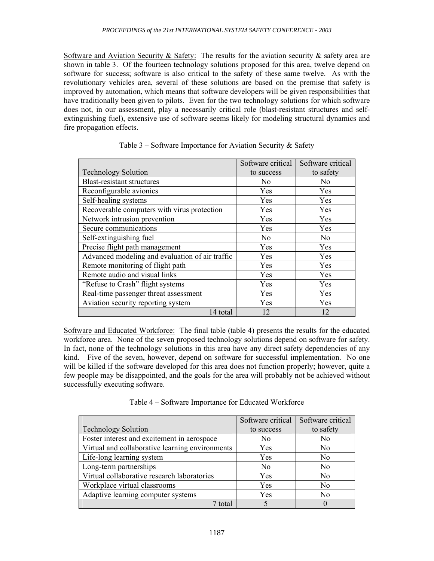Software and Aviation Security & Safety: The results for the aviation security & safety area are shown in table 3. Of the fourteen technology solutions proposed for this area, twelve depend on software for success; software is also critical to the safety of these same twelve. As with the revolutionary vehicles area, several of these solutions are based on the premise that safety is improved by automation, which means that software developers will be given responsibilities that have traditionally been given to pilots. Even for the two technology solutions for which software does not, in our assessment, play a necessarily critical role (blast-resistant structures and selfextinguishing fuel), extensive use of software seems likely for modeling structural dynamics and fire propagation effects.

|                                                 | Software critical | Software critical |
|-------------------------------------------------|-------------------|-------------------|
| <b>Technology Solution</b>                      | to success        | to safety         |
| <b>Blast-resistant structures</b>               | N <sub>0</sub>    | No.               |
| Reconfigurable avionics                         | Yes               | Yes               |
| Self-healing systems                            | Yes               | Yes               |
| Recoverable computers with virus protection     | Yes               | Yes               |
| Network intrusion prevention                    | Yes               | Yes               |
| Secure communications                           | Yes               | Yes               |
| Self-extinguishing fuel                         | N <sub>o</sub>    | N <sub>0</sub>    |
| Precise flight path management                  | Yes               | Yes               |
| Advanced modeling and evaluation of air traffic | Yes               | Yes               |
| Remote monitoring of flight path                | Yes               | Yes               |
| Remote audio and visual links                   | Yes               | Yes               |
| "Refuse to Crash" flight systems                | Yes               | Yes               |
| Real-time passenger threat assessment           | <b>Yes</b>        | Yes               |
| Aviation security reporting system              | Yes               | Yes               |
| 14 total                                        | 12                | 12                |

### Table  $3$  – Software Importance for Aviation Security  $\&$  Safety

Software and Educated Workforce: The final table (table 4) presents the results for the educated workforce area. None of the seven proposed technology solutions depend on software for safety. In fact, none of the technology solutions in this area have any direct safety dependencies of any kind. Five of the seven, however, depend on software for successful implementation. No one will be killed if the software developed for this area does not function properly; however, quite a few people may be disappointed, and the goals for the area will probably not be achieved without successfully executing software.

|                                                 | Software critical | Software critical |
|-------------------------------------------------|-------------------|-------------------|
| <b>Technology Solution</b>                      | to success        | to safety         |
| Foster interest and excitement in aerospace     | No                | No                |
| Virtual and collaborative learning environments | Yes               | N <sub>0</sub>    |
| Life-long learning system                       | Yes               | N <sub>0</sub>    |
| Long-term partnerships                          | N <sub>0</sub>    | N <sub>0</sub>    |
| Virtual collaborative research laboratories     | Yes               | N <sub>0</sub>    |
| Workplace virtual classrooms                    | Yes               | N <sub>0</sub>    |
| Adaptive learning computer systems              | Yes               | N <sub>0</sub>    |
| 7 total                                         |                   |                   |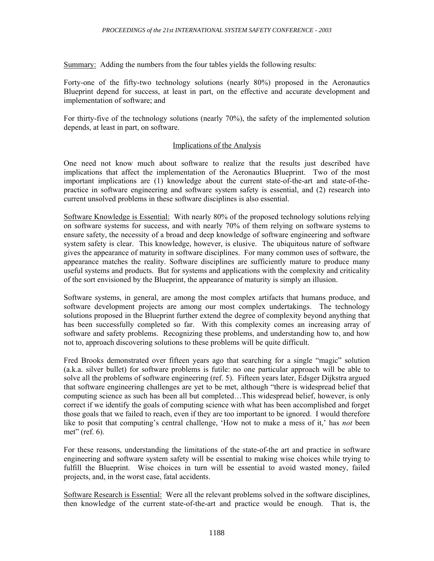Summary: Adding the numbers from the four tables yields the following results:

Forty-one of the fifty-two technology solutions (nearly 80%) proposed in the Aeronautics Blueprint depend for success, at least in part, on the effective and accurate development and implementation of software; and

For thirty-five of the technology solutions (nearly 70%), the safety of the implemented solution depends, at least in part, on software.

### Implications of the Analysis

One need not know much about software to realize that the results just described have implications that affect the implementation of the Aeronautics Blueprint. Two of the most important implications are (1) knowledge about the current state-of-the-art and state-of-thepractice in software engineering and software system safety is essential, and (2) research into current unsolved problems in these software disciplines is also essential.

Software Knowledge is Essential: With nearly 80% of the proposed technology solutions relying on software systems for success, and with nearly 70% of them relying on software systems to ensure safety, the necessity of a broad and deep knowledge of software engineering and software system safety is clear. This knowledge, however, is elusive. The ubiquitous nature of software gives the appearance of maturity in software disciplines. For many common uses of software, the appearance matches the reality. Software disciplines are sufficiently mature to produce many useful systems and products. But for systems and applications with the complexity and criticality of the sort envisioned by the Blueprint, the appearance of maturity is simply an illusion.

Software systems, in general, are among the most complex artifacts that humans produce, and software development projects are among our most complex undertakings. The technology solutions proposed in the Blueprint further extend the degree of complexity beyond anything that has been successfully completed so far. With this complexity comes an increasing array of software and safety problems. Recognizing these problems, and understanding how to, and how not to, approach discovering solutions to these problems will be quite difficult.

Fred Brooks demonstrated over fifteen years ago that searching for a single "magic" solution (a.k.a. silver bullet) for software problems is futile: no one particular approach will be able to solve all the problems of software engineering (ref. 5). Fifteen years later, Edsger Dijkstra argued that software engineering challenges are yet to be met, although "there is widespread belief that computing science as such has been all but completed…This widespread belief, however, is only correct if we identify the goals of computing science with what has been accomplished and forget those goals that we failed to reach, even if they are too important to be ignored. I would therefore like to posit that computing's central challenge, 'How not to make a mess of it,' has *not* been met" (ref. 6).

For these reasons, understanding the limitations of the state-of-the art and practice in software engineering and software system safety will be essential to making wise choices while trying to fulfill the Blueprint. Wise choices in turn will be essential to avoid wasted money, failed projects, and, in the worst case, fatal accidents.

Software Research is Essential: Were all the relevant problems solved in the software disciplines, then knowledge of the current state-of-the-art and practice would be enough. That is, the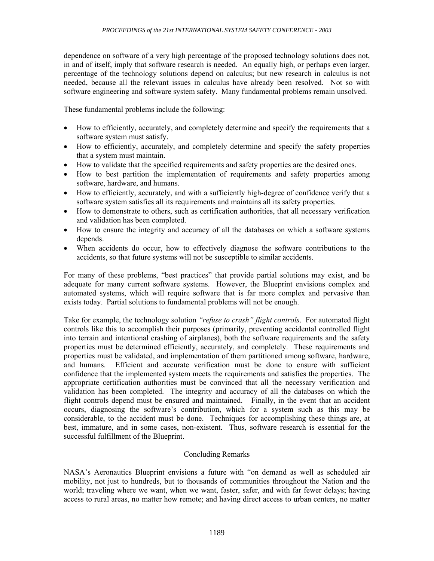dependence on software of a very high percentage of the proposed technology solutions does not, in and of itself, imply that software research is needed. An equally high, or perhaps even larger, percentage of the technology solutions depend on calculus; but new research in calculus is not needed, because all the relevant issues in calculus have already been resolved. Not so with software engineering and software system safety. Many fundamental problems remain unsolved.

These fundamental problems include the following:

- How to efficiently, accurately, and completely determine and specify the requirements that a software system must satisfy.
- How to efficiently, accurately, and completely determine and specify the safety properties that a system must maintain.
- How to validate that the specified requirements and safety properties are the desired ones.
- How to best partition the implementation of requirements and safety properties among software, hardware, and humans.
- How to efficiently, accurately, and with a sufficiently high-degree of confidence verify that a software system satisfies all its requirements and maintains all its safety properties.
- How to demonstrate to others, such as certification authorities, that all necessary verification and validation has been completed.
- How to ensure the integrity and accuracy of all the databases on which a software systems depends.
- When accidents do occur, how to effectively diagnose the software contributions to the accidents, so that future systems will not be susceptible to similar accidents.

For many of these problems, "best practices" that provide partial solutions may exist, and be adequate for many current software systems. However, the Blueprint envisions complex and automated systems, which will require software that is far more complex and pervasive than exists today. Partial solutions to fundamental problems will not be enough.

Take for example, the technology solution *"refuse to crash" flight controls*. For automated flight controls like this to accomplish their purposes (primarily, preventing accidental controlled flight into terrain and intentional crashing of airplanes), both the software requirements and the safety properties must be determined efficiently, accurately, and completely. These requirements and properties must be validated, and implementation of them partitioned among software, hardware, and humans. Efficient and accurate verification must be done to ensure with sufficient confidence that the implemented system meets the requirements and satisfies the properties. The appropriate certification authorities must be convinced that all the necessary verification and validation has been completed. The integrity and accuracy of all the databases on which the flight controls depend must be ensured and maintained. Finally, in the event that an accident occurs, diagnosing the software's contribution, which for a system such as this may be considerable, to the accident must be done. Techniques for accomplishing these things are, at best, immature, and in some cases, non-existent. Thus, software research is essential for the successful fulfillment of the Blueprint.

# Concluding Remarks

NASA's Aeronautics Blueprint envisions a future with "on demand as well as scheduled air mobility, not just to hundreds, but to thousands of communities throughout the Nation and the world; traveling where we want, when we want, faster, safer, and with far fewer delays; having access to rural areas, no matter how remote; and having direct access to urban centers, no matter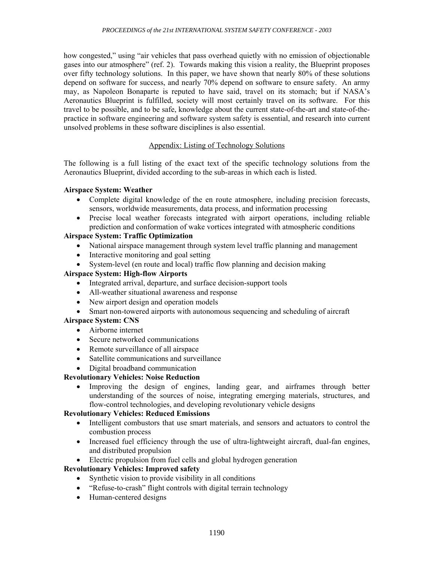how congested," using "air vehicles that pass overhead quietly with no emission of objectionable gases into our atmosphere" (ref. 2). Towards making this vision a reality, the Blueprint proposes over fifty technology solutions. In this paper, we have shown that nearly 80% of these solutions depend on software for success, and nearly 70% depend on software to ensure safety. An army may, as Napoleon Bonaparte is reputed to have said, travel on its stomach; but if NASA's Aeronautics Blueprint is fulfilled, society will most certainly travel on its software. For this travel to be possible, and to be safe, knowledge about the current state-of-the-art and state-of-thepractice in software engineering and software system safety is essential, and research into current unsolved problems in these software disciplines is also essential.

### Appendix: Listing of Technology Solutions

The following is a full listing of the exact text of the specific technology solutions from the Aeronautics Blueprint, divided according to the sub-areas in which each is listed.

### **Airspace System: Weather**

- Complete digital knowledge of the en route atmosphere, including precision forecasts, sensors, worldwide measurements, data process, and information processing
- Precise local weather forecasts integrated with airport operations, including reliable prediction and conformation of wake vortices integrated with atmospheric conditions

## **Airspace System: Traffic Optimization**

- National airspace management through system level traffic planning and management
- Interactive monitoring and goal setting
- System-level (en route and local) traffic flow planning and decision making

## **Airspace System: High-flow Airports**

- Integrated arrival, departure, and surface decision-support tools
- All-weather situational awareness and response
- New airport design and operation models
- Smart non-towered airports with autonomous sequencing and scheduling of aircraft

### **Airspace System: CNS**

- Airborne internet
- Secure networked communications
- Remote surveillance of all airspace
- Satellite communications and surveillance
- Digital broadband communication

### **Revolutionary Vehicles: Noise Reduction**

• Improving the design of engines, landing gear, and airframes through better understanding of the sources of noise, integrating emerging materials, structures, and flow-control technologies, and developing revolutionary vehicle designs

## **Revolutionary Vehicles: Reduced Emissions**

- Intelligent combustors that use smart materials, and sensors and actuators to control the combustion process
- Increased fuel efficiency through the use of ultra-lightweight aircraft, dual-fan engines, and distributed propulsion
- Electric propulsion from fuel cells and global hydrogen generation

## **Revolutionary Vehicles: Improved safety**

- Synthetic vision to provide visibility in all conditions
- "Refuse-to-crash" flight controls with digital terrain technology
- Human-centered designs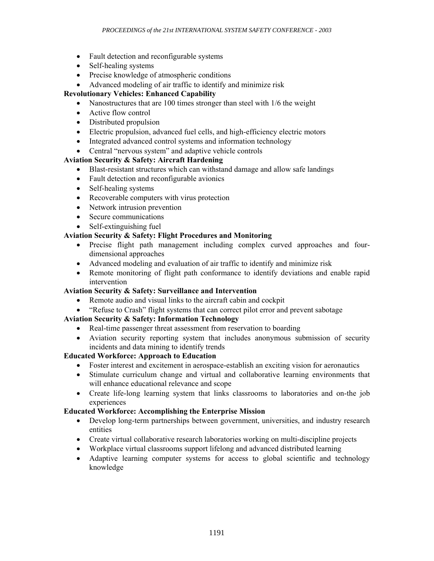- Fault detection and reconfigurable systems
- Self-healing systems
- Precise knowledge of atmospheric conditions
- Advanced modeling of air traffic to identify and minimize risk

# **Revolutionary Vehicles: Enhanced Capability**

- Nanostructures that are 100 times stronger than steel with 1/6 the weight
- Active flow control
- Distributed propulsion
- Electric propulsion, advanced fuel cells, and high-efficiency electric motors
- Integrated advanced control systems and information technology
- Central "nervous system" and adaptive vehicle controls

# **Aviation Security & Safety: Aircraft Hardening**

- Blast-resistant structures which can withstand damage and allow safe landings
- Fault detection and reconfigurable avionics
- Self-healing systems
- Recoverable computers with virus protection
- Network intrusion prevention
- Secure communications
- Self-extinguishing fuel

## **Aviation Security & Safety: Flight Procedures and Monitoring**

- Precise flight path management including complex curved approaches and fourdimensional approaches
- Advanced modeling and evaluation of air traffic to identify and minimize risk
- Remote monitoring of flight path conformance to identify deviations and enable rapid intervention

### **Aviation Security & Safety: Surveillance and Intervention**

- Remote audio and visual links to the aircraft cabin and cockpit
- "Refuse to Crash" flight systems that can correct pilot error and prevent sabotage

# **Aviation Security & Safety: Information Technology**

- Real-time passenger threat assessment from reservation to boarding
- Aviation security reporting system that includes anonymous submission of security incidents and data mining to identify trends

# **Educated Workforce: Approach to Education**

- Foster interest and excitement in aerospace-establish an exciting vision for aeronautics
- Stimulate curriculum change and virtual and collaborative learning environments that will enhance educational relevance and scope
- Create life-long learning system that links classrooms to laboratories and on-the job experiences

### **Educated Workforce: Accomplishing the Enterprise Mission**

- Develop long-term partnerships between government, universities, and industry research entities
- Create virtual collaborative research laboratories working on multi-discipline projects
- Workplace virtual classrooms support lifelong and advanced distributed learning
- Adaptive learning computer systems for access to global scientific and technology knowledge